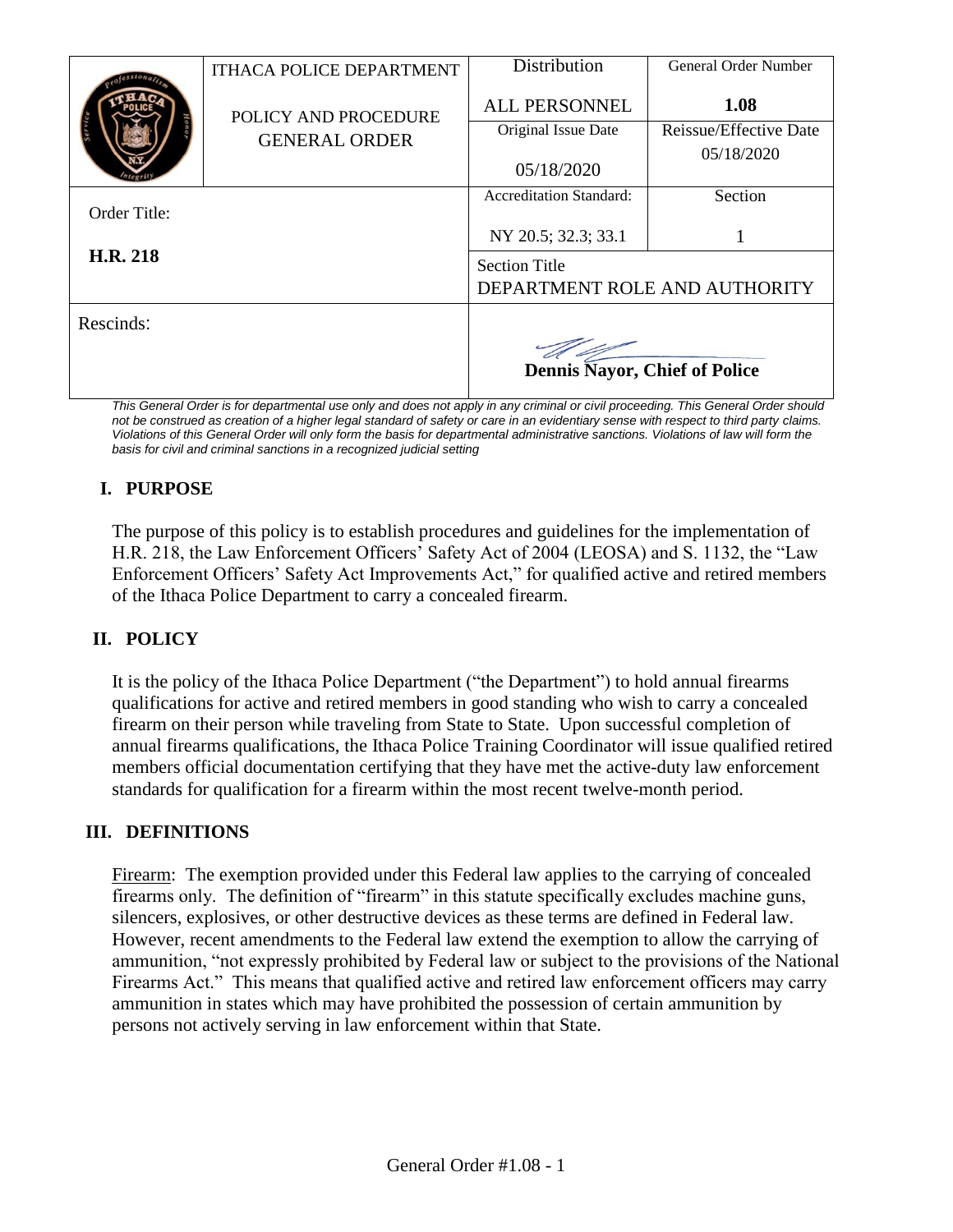|              | <b>ITHACA POLICE DEPARTMENT</b>              | <b>Distribution</b>                                   | General Order Number   |
|--------------|----------------------------------------------|-------------------------------------------------------|------------------------|
|              | POLICY AND PROCEDURE<br><b>GENERAL ORDER</b> | <b>ALL PERSONNEL</b>                                  | 1.08                   |
|              |                                              | Original Issue Date                                   | Reissue/Effective Date |
|              |                                              | 05/18/2020                                            | 05/18/2020             |
|              |                                              |                                                       |                        |
| Order Title: |                                              | <b>Accreditation Standard:</b>                        | Section                |
|              |                                              | NY 20.5; 32.3; 33.1                                   |                        |
| H.R. 218     |                                              | <b>Section Title</b><br>DEPARTMENT ROLE AND AUTHORITY |                        |
| Rescinds:    |                                              |                                                       |                        |
|              |                                              | <b>Dennis Nayor, Chief of Police</b>                  |                        |

*This General Order is for departmental use only and does not apply in any criminal or civil proceeding. This General Order should*  not be construed as creation of a higher legal standard of safety or care in an evidentiary sense with respect to third party claims. *Violations of this General Order will only form the basis for departmental administrative sanctions. Violations of law will form the basis for civil and criminal sanctions in a recognized judicial setting*

# **I. PURPOSE**

The purpose of this policy is to establish procedures and guidelines for the implementation of H.R. 218, the Law Enforcement Officers' Safety Act of 2004 (LEOSA) and S. 1132, the "Law Enforcement Officers' Safety Act Improvements Act," for qualified active and retired members of the Ithaca Police Department to carry a concealed firearm.

# **II. POLICY**

It is the policy of the Ithaca Police Department ("the Department") to hold annual firearms qualifications for active and retired members in good standing who wish to carry a concealed firearm on their person while traveling from State to State. Upon successful completion of annual firearms qualifications, the Ithaca Police Training Coordinator will issue qualified retired members official documentation certifying that they have met the active-duty law enforcement standards for qualification for a firearm within the most recent twelve-month period.

# **III. DEFINITIONS**

Firearm:The exemption provided under this Federal law applies to the carrying of concealed firearms only. The definition of "firearm" in this statute specifically excludes machine guns, silencers, explosives, or other destructive devices as these terms are defined in Federal law. However, recent amendments to the Federal law extend the exemption to allow the carrying of ammunition, "not expressly prohibited by Federal law or subject to the provisions of the National Firearms Act." This means that qualified active and retired law enforcement officers may carry ammunition in states which may have prohibited the possession of certain ammunition by persons not actively serving in law enforcement within that State.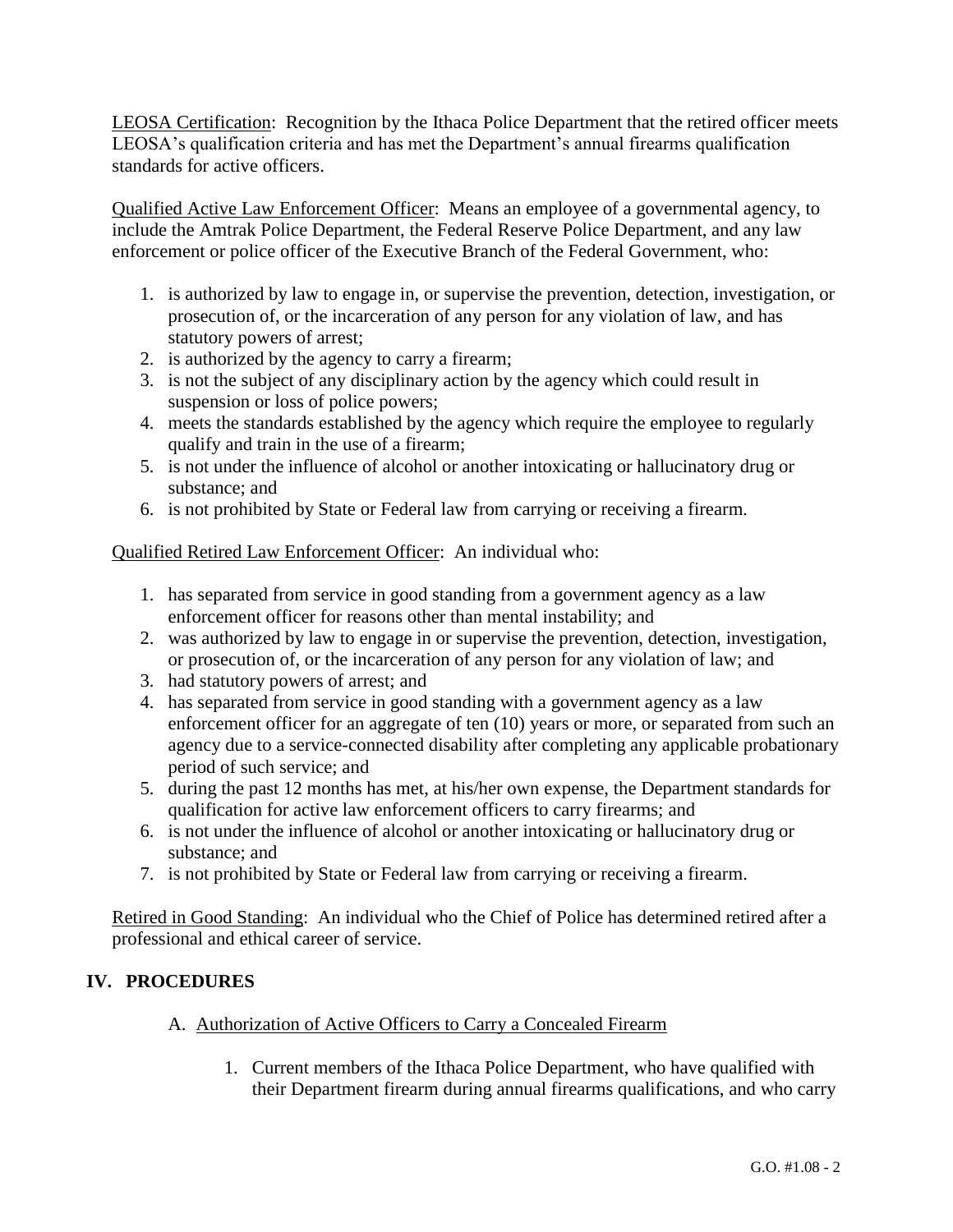LEOSA Certification:Recognition by the Ithaca Police Department that the retired officer meets LEOSA's qualification criteria and has met the Department's annual firearms qualification standards for active officers.

Qualified Active Law Enforcement Officer:Means an employee of a governmental agency, to include the Amtrak Police Department, the Federal Reserve Police Department, and any law enforcement or police officer of the Executive Branch of the Federal Government, who:

- 1. is authorized by law to engage in, or supervise the prevention, detection, investigation, or prosecution of, or the incarceration of any person for any violation of law, and has statutory powers of arrest;
- 2. is authorized by the agency to carry a firearm;
- 3. is not the subject of any disciplinary action by the agency which could result in suspension or loss of police powers;
- 4. meets the standards established by the agency which require the employee to regularly qualify and train in the use of a firearm;
- 5. is not under the influence of alcohol or another intoxicating or hallucinatory drug or substance; and
- 6. is not prohibited by State or Federal law from carrying or receiving a firearm.

Qualified Retired Law Enforcement Officer: An individual who:

- 1. has separated from service in good standing from a government agency as a law enforcement officer for reasons other than mental instability; and
- 2. was authorized by law to engage in or supervise the prevention, detection, investigation, or prosecution of, or the incarceration of any person for any violation of law; and
- 3. had statutory powers of arrest; and
- 4. has separated from service in good standing with a government agency as a law enforcement officer for an aggregate of ten (10) years or more, or separated from such an agency due to a service-connected disability after completing any applicable probationary period of such service; and
- 5. during the past 12 months has met, at his/her own expense, the Department standards for qualification for active law enforcement officers to carry firearms; and
- 6. is not under the influence of alcohol or another intoxicating or hallucinatory drug or substance; and
- 7. is not prohibited by State or Federal law from carrying or receiving a firearm.

Retired in Good Standing:An individual who the Chief of Police has determined retired after a professional and ethical career of service.

### **IV. PROCEDURES**

- A. Authorization of Active Officers to Carry a Concealed Firearm
	- 1. Current members of the Ithaca Police Department, who have qualified with their Department firearm during annual firearms qualifications, and who carry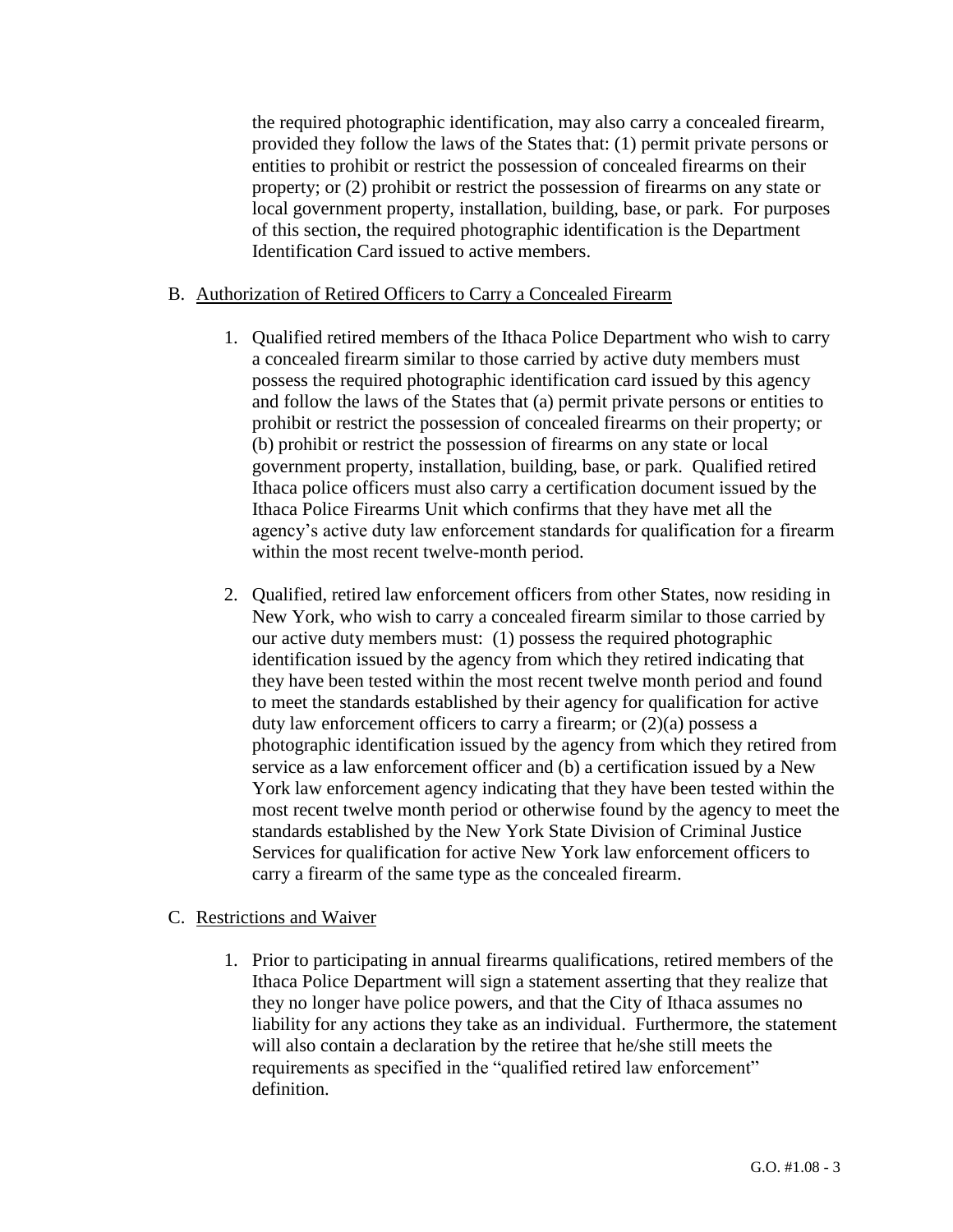the required photographic identification, may also carry a concealed firearm, provided they follow the laws of the States that: (1) permit private persons or entities to prohibit or restrict the possession of concealed firearms on their property; or (2) prohibit or restrict the possession of firearms on any state or local government property, installation, building, base, or park. For purposes of this section, the required photographic identification is the Department Identification Card issued to active members.

#### B. Authorization of Retired Officers to Carry a Concealed Firearm

- 1. Qualified retired members of the Ithaca Police Department who wish to carry a concealed firearm similar to those carried by active duty members must possess the required photographic identification card issued by this agency and follow the laws of the States that (a) permit private persons or entities to prohibit or restrict the possession of concealed firearms on their property; or (b) prohibit or restrict the possession of firearms on any state or local government property, installation, building, base, or park. Qualified retired Ithaca police officers must also carry a certification document issued by the Ithaca Police Firearms Unit which confirms that they have met all the agency's active duty law enforcement standards for qualification for a firearm within the most recent twelve-month period.
- 2. Qualified, retired law enforcement officers from other States, now residing in New York, who wish to carry a concealed firearm similar to those carried by our active duty members must: (1) possess the required photographic identification issued by the agency from which they retired indicating that they have been tested within the most recent twelve month period and found to meet the standards established by their agency for qualification for active duty law enforcement officers to carry a firearm; or  $(2)(a)$  possess a photographic identification issued by the agency from which they retired from service as a law enforcement officer and (b) a certification issued by a New York law enforcement agency indicating that they have been tested within the most recent twelve month period or otherwise found by the agency to meet the standards established by the New York State Division of Criminal Justice Services for qualification for active New York law enforcement officers to carry a firearm of the same type as the concealed firearm.

#### C. Restrictions and Waiver

1. Prior to participating in annual firearms qualifications, retired members of the Ithaca Police Department will sign a statement asserting that they realize that they no longer have police powers, and that the City of Ithaca assumes no liability for any actions they take as an individual. Furthermore, the statement will also contain a declaration by the retiree that he/she still meets the requirements as specified in the "qualified retired law enforcement" definition.